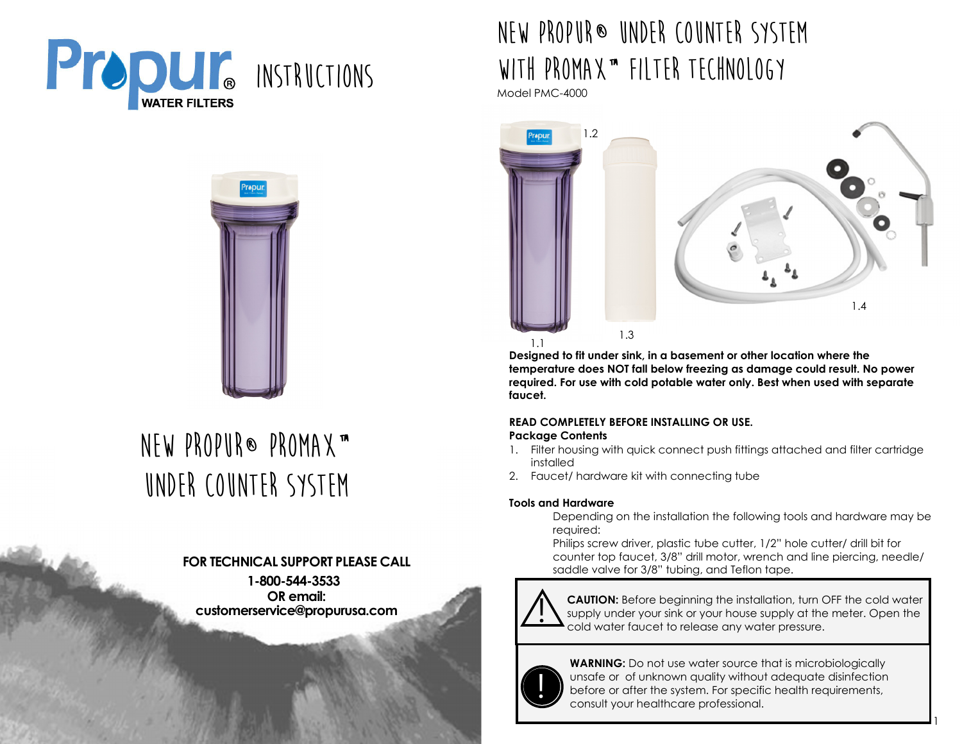

# **NeW PROPUR® ProMax™ Under Counter System**

### **FOR TECHNICAL SUPPORT PLEASE CALL**

**1-800-544-3533 OR email: customerservice@propurusa.com** 

# **New Propur® Under Counter System with ProMax™ Filter Technology**

Model PMC-4000



**Designed to fit under sink, in a basement or other location where the temperature does NOT fall below freezing as damage could result. No power required. For use with cold potable water only. Best when used with separate faucet.** 

# **READ COMPLETELY BEFORE INSTALLING OR USE.**

### **Package Contents**

- 1. Filter housing with quick connect push fittings attached and filter cartridge installed
- 2. Faucet/ hardware kit with connecting tube

### **Tools and Hardware**

 Depending on the installation the following tools and hardware may be required:

 Philips screw driver, plastic tube cutter, 1/2" hole cutter/ drill bit for counter top faucet, 3/8" drill motor, wrench and line piercing, needle/saddle valve for 3/8" tubing, and Teflon tape.



**CAUTION:** Before beginning the installation, turn OFF the cold water supply under your sink or your house supply at the meter. Open the cold water faucet to release any water pressure.

1



**WARNING:** Do not use water source that is microbiologically unsafe or of unknown quality without adequate disinfection before or after the system. For specific health requirements, consult your healthcare professional.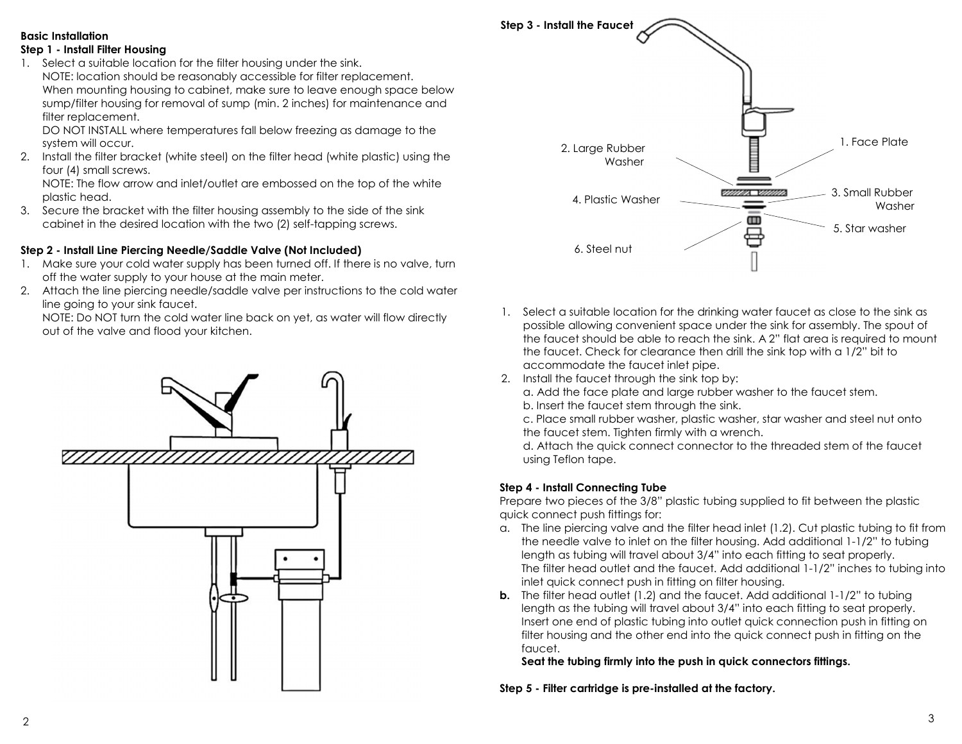#### **Basic Installation**

#### **Step 1 - Install Filter Housing**

1. Select a suitable location for the filter housing under the sink. NOTE: location should be reasonably accessible for filter replacement. When mounting housing to cabinet, make sure to leave enough space below sump/filter housing for removal of sump (min. 2 inches) for maintenance and filter replacement.

 DO NOT INSTALL where temperatures fall below freezing as damage to the system will occur.

 2. Install the filter bracket (white steel) on the filter head (white plastic) using the four (4) small screws.

 NOTE: The flow arrow and inlet/outlet are embossed on the top of the white plastic head.

 3. Secure the bracket with the filter housing assembly to the side of the sink cabinet in the desired location with the two (2) self-tapping screws.

#### **Step 2 - Install Line Piercing Needle/Saddle Valve (Not Included)**

- 1. Make sure your cold water supply has been turned off. If there is no valve, turn off the water supply to your house at the main meter.
- 2. Attach the line piercing needle/saddle valve per instructions to the cold water line going to your sink faucet.

 NOTE: Do NOT turn the cold water line back on yet, as water will flow directly out of the valve and flood your kitchen.





- 1. Select a suitable location for the drinking water faucet as close to the sink as possible allowing convenient space under the sink for assembly. The spout of the faucet should be able to reach the sink. A 2" flat area is required to mount the faucet. Check for clearance then drill the sink top with a 1/2" bit to accommodate the faucet inlet pipe.
- 2. Install the faucet through the sink top by:

a. Add the face plate and large rubber washer to the faucet stem.

b. Insert the faucet stem through the sink.

 c. Place small rubber washer, plastic washer, star washer and steel nut onto the faucet stem. Tighten firmly with a wrench.

 d. Attach the quick connect connector to the threaded stem of the faucet using Teflon tape.

#### **Step 4 - Install Connecting Tube**

 Prepare two pieces of the 3/8" plastic tubing supplied to fit between the plastic quick connect push fittings for:

- a. The line piercing valve and the filter head inlet (1.2). Cut plastic tubing to fit from the needle valve to inlet on the filter housing. Add additional 1-1/2" to tubing length as tubing will travel about 3/4" into each fitting to seat properly. The filter head outlet and the faucet. Add additional 1-1/2" inches to tubing into inlet quick connect push in fitting on filter housing.
- **b.** The filter head outlet (1.2) and the faucet. Add additional 1-1/2" to tubing length as the tubing will travel about 3/4" into each fitting to seat properly. Insert one end of plastic tubing into outlet quick connection push in fitting on filter housing and the other end into the quick connect push in fitting on the faucet.

**Seat the tubing firmly into the push in quick connectors fittings.** 

**Step 5 - Filter cartridge is pre-installed at the factory.**